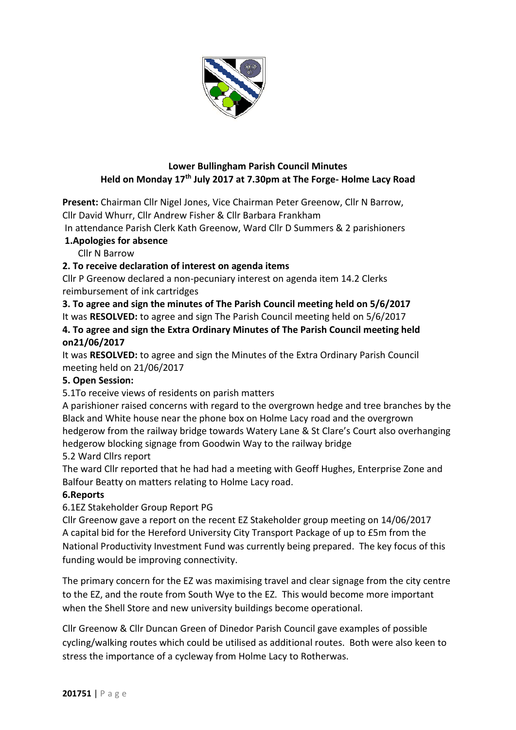

## **Lower Bullingham Parish Council Minutes Held on Monday 17th July 2017 at 7.30pm at The Forge- Holme Lacy Road**

**Present:** Chairman Cllr Nigel Jones, Vice Chairman Peter Greenow, Cllr N Barrow, Cllr David Whurr, Cllr Andrew Fisher & Cllr Barbara Frankham

In attendance Parish Clerk Kath Greenow, Ward Cllr D Summers & 2 parishioners

## **1.Apologies for absence**

Cllr N Barrow

# **2. To receive declaration of interest on agenda items**

Cllr P Greenow declared a non-pecuniary interest on agenda item 14.2 Clerks reimbursement of ink cartridges

**3. To agree and sign the minutes of The Parish Council meeting held on 5/6/2017**

It was **RESOLVED:** to agree and sign The Parish Council meeting held on 5/6/2017

**4. To agree and sign the Extra Ordinary Minutes of The Parish Council meeting held on21/06/2017**

It was **RESOLVED:** to agree and sign the Minutes of the Extra Ordinary Parish Council meeting held on 21/06/2017

# **5. Open Session:**

5.1To receive views of residents on parish matters

A parishioner raised concerns with regard to the overgrown hedge and tree branches by the Black and White house near the phone box on Holme Lacy road and the overgrown hedgerow from the railway bridge towards Watery Lane & St Clare's Court also overhanging hedgerow blocking signage from Goodwin Way to the railway bridge 5.2 Ward Cllrs report

The ward Cllr reported that he had had a meeting with Geoff Hughes, Enterprise Zone and Balfour Beatty on matters relating to Holme Lacy road.

## **6.Reports**

## 6.1EZ Stakeholder Group Report PG

Cllr Greenow gave a report on the recent EZ Stakeholder group meeting on 14/06/2017 A capital bid for the Hereford University City Transport Package of up to £5m from the National Productivity Investment Fund was currently being prepared. The key focus of this funding would be improving connectivity.

The primary concern for the EZ was maximising travel and clear signage from the city centre to the EZ, and the route from South Wye to the EZ. This would become more important when the Shell Store and new university buildings become operational.

Cllr Greenow & Cllr Duncan Green of Dinedor Parish Council gave examples of possible cycling/walking routes which could be utilised as additional routes. Both were also keen to stress the importance of a cycleway from Holme Lacy to Rotherwas.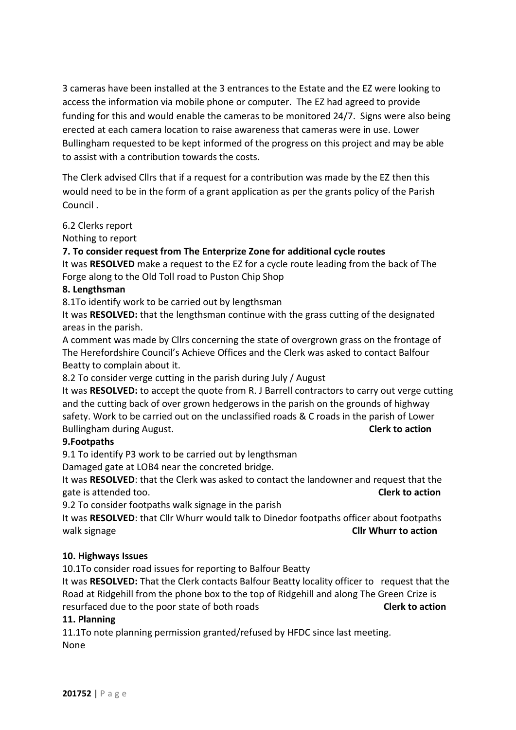3 cameras have been installed at the 3 entrances to the Estate and the EZ were looking to access the information via mobile phone or computer. The EZ had agreed to provide funding for this and would enable the cameras to be monitored 24/7. Signs were also being erected at each camera location to raise awareness that cameras were in use. Lower Bullingham requested to be kept informed of the progress on this project and may be able to assist with a contribution towards the costs.

The Clerk advised Cllrs that if a request for a contribution was made by the EZ then this would need to be in the form of a grant application as per the grants policy of the Parish Council .

6.2 Clerks report

Nothing to report

**7. To consider request from The Enterprize Zone for additional cycle routes** 

It was **RESOLVED** make a request to the EZ for a cycle route leading from the back of The Forge along to the Old Toll road to Puston Chip Shop

#### **8. Lengthsman**

8.1To identify work to be carried out by lengthsman

It was **RESOLVED:** that the lengthsman continue with the grass cutting of the designated areas in the parish.

A comment was made by Cllrs concerning the state of overgrown grass on the frontage of The Herefordshire Council's Achieve Offices and the Clerk was asked to contact Balfour Beatty to complain about it.

8.2 To consider verge cutting in the parish during July / August

It was **RESOLVED:** to accept the quote from R. J Barrell contractors to carry out verge cutting and the cutting back of over grown hedgerows in the parish on the grounds of highway safety. Work to be carried out on the unclassified roads & C roads in the parish of Lower Bullingham during August. **Clerk to action**

## **9.Footpaths**

9.1 To identify P3 work to be carried out by lengthsman

Damaged gate at LOB4 near the concreted bridge.

It was **RESOLVED**: that the Clerk was asked to contact the landowner and request that the gate is attended too. **Clerk to action**

9.2 To consider footpaths walk signage in the parish

It was **RESOLVED**: that Cllr Whurr would talk to Dinedor footpaths officer about footpaths walk signage **Cllr Whurr to action**

## **10. Highways Issues**

10.1To consider road issues for reporting to Balfour Beatty

It was **RESOLVED:** That the Clerk contacts Balfour Beatty locality officer to request that the Road at Ridgehill from the phone box to the top of Ridgehill and along The Green Crize is resurfaced due to the poor state of both roads **Clerk to action**

## **11. Planning**

11.1To note planning permission granted/refused by HFDC since last meeting. None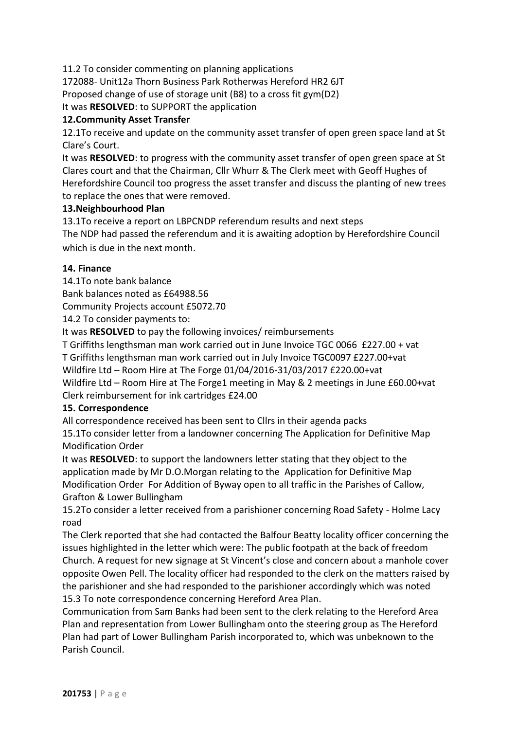11.2 To consider commenting on planning applications

172088- Unit12a Thorn Business Park Rotherwas Hereford HR2 6JT Proposed change of use of storage unit (B8) to a cross fit gym(D2)

It was **RESOLVED**: to SUPPORT the application

#### **12.Community Asset Transfer**

12.1To receive and update on the community asset transfer of open green space land at St Clare's Court.

It was **RESOLVED**: to progress with the community asset transfer of open green space at St Clares court and that the Chairman, Cllr Whurr & The Clerk meet with Geoff Hughes of Herefordshire Council too progress the asset transfer and discuss the planting of new trees to replace the ones that were removed.

#### **13.Neighbourhood Plan**

13.1To receive a report on LBPCNDP referendum results and next steps

The NDP had passed the referendum and it is awaiting adoption by Herefordshire Council which is due in the next month.

#### **14. Finance**

14.1To note bank balance Bank balances noted as £64988.56 Community Projects account £5072.70

14.2 To consider payments to:

It was **RESOLVED** to pay the following invoices/ reimbursements

T Griffiths lengthsman man work carried out in June Invoice TGC 0066 £227.00 + vat T Griffiths lengthsman man work carried out in July Invoice TGC0097 £227.00+vat Wildfire Ltd – Room Hire at The Forge 01/04/2016-31/03/2017 £220.00+vat Wildfire Ltd – Room Hire at The Forge1 meeting in May & 2 meetings in June £60.00+vat Clerk reimbursement for ink cartridges £24.00

#### **15. Correspondence**

All correspondence received has been sent to Cllrs in their agenda packs 15.1To consider letter from a landowner concerning The Application for Definitive Map

Modification Order

It was **RESOLVED**: to support the landowners letter stating that they object to the application made by Mr D.O.Morgan relating to the Application for Definitive Map Modification Order For Addition of Byway open to all traffic in the Parishes of Callow, Grafton & Lower Bullingham

15.2To consider a letter received from a parishioner concerning Road Safety - Holme Lacy road

The Clerk reported that she had contacted the Balfour Beatty locality officer concerning the issues highlighted in the letter which were: The public footpath at the back of freedom Church. A request for new signage at St Vincent's close and concern about a manhole cover opposite Owen Pell. The locality officer had responded to the clerk on the matters raised by the parishioner and she had responded to the parishioner accordingly which was noted 15.3 To note correspondence concerning Hereford Area Plan.

Communication from Sam Banks had been sent to the clerk relating to the Hereford Area Plan and representation from Lower Bullingham onto the steering group as The Hereford Plan had part of Lower Bullingham Parish incorporated to, which was unbeknown to the Parish Council.